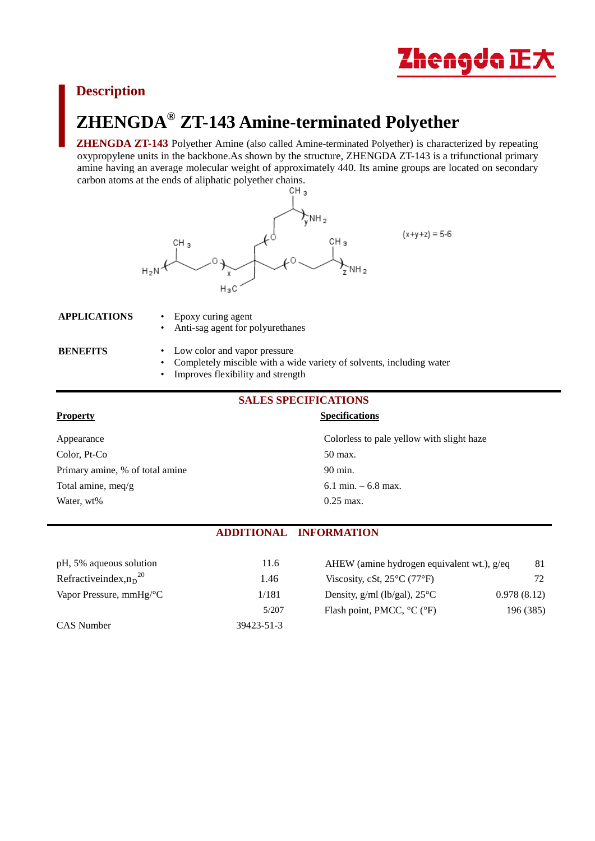

# **Description**

# **ZHENGDA® ZT-143 Amine-terminated Polyether**

**ZHENGDA ZT-143** Polyether Amine (also called Amine-terminated Polyether) is characterized by repeating oxypropylene units in the backbone.As shown by the structure, ZHENGDA ZT-143 is a trifunctional primary amine having an average molecular weight of approximately 440. Its amine groups are located on secondary carbon atoms at the ends of aliphatic polyether chains.<br>CH<sub>3</sub>



#### **APPLICATIONS** • Epoxy curing agent

- - Anti-sag agent for polyurethanes
- **BENEFITS** Low color and vapor pressure
	- Completely miscible with a wide variety of solvents, including water
	- Improves flexibility and strength

# **SALES SPECIFICATIONS**

#### **Property** Specifications **Specifications**

Appearance Colorless to pale yellow with slight haze Color, Pt-Co 50 max. Primary amine, % of total amine 90 min. Total amine, meq/g 6.1 min. – 6.8 max. Water, wt% 0.25 max.

## **ADDITIONAL INFORMATION**

| pH, 5% aqueous solution               | 11.6       | AHEW (amine hydrogen equivalent wt.), g/eq       | 81          |
|---------------------------------------|------------|--------------------------------------------------|-------------|
| Refractive index, $n_D^{20}$          | 1.46       | Viscosity, cSt, $25^{\circ}$ C (77 $^{\circ}$ F) | 72.         |
| Vapor Pressure, $mmHg$ <sup>o</sup> C | 1/181      | Density, $g/ml$ (lb/gal), $25^{\circ}C$          | 0.978(8.12) |
|                                       | 5/207      | Flash point, PMCC, $^{\circ}C$ ( $^{\circ}F$ )   | 196 (385)   |
| CAS Number                            | 39423-51-3 |                                                  |             |